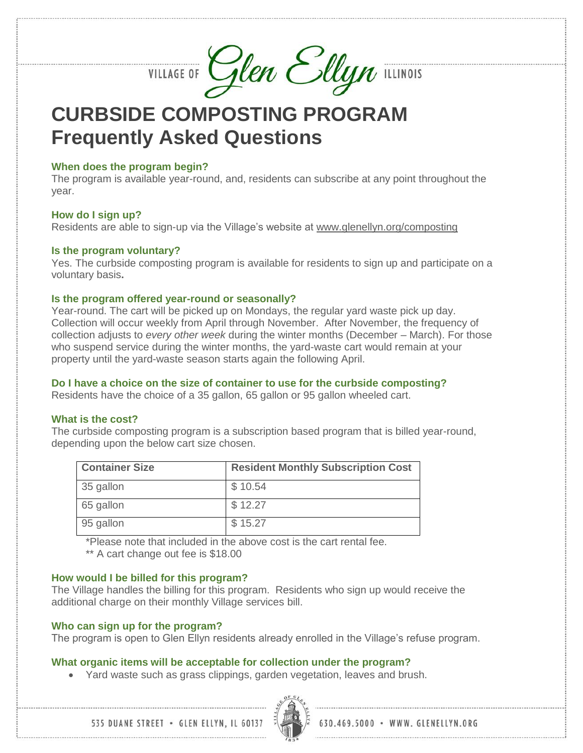VILLAGE OF Glen Ellyn ILLINOIS

**CURBSIDE COMPOSTING PROGRAM Frequently Asked Questions**

### **When does the program begin?**

The program is available year-round, and, residents can subscribe at any point throughout the year.

### **How do I sign up?**

Residents are able to sign-up via the Village's website at [www.glenellyn.org/composting](http://www.glenellyn.org/composting)

## **Is the program voluntary?**

Yes. The curbside composting program is available for residents to sign up and participate on a voluntary basis**.**

## **Is the program offered year-round or seasonally?**

Year-round. The cart will be picked up on Mondays, the regular yard waste pick up day. Collection will occur weekly from April through November. After November, the frequency of collection adjusts to *every other week* during the winter months (December – March). For those who suspend service during the winter months, the yard-waste cart would remain at your property until the yard-waste season starts again the following April.

## **Do I have a choice on the size of container to use for the curbside composting?**

Residents have the choice of a 35 gallon, 65 gallon or 95 gallon wheeled cart.

## **What is the cost?**

The curbside composting program is a subscription based program that is billed year-round, depending upon the below cart size chosen.

| <b>Container Size</b> | <b>Resident Monthly Subscription Cost</b> |
|-----------------------|-------------------------------------------|
| 35 gallon             | \$10.54                                   |
| 65 gallon             | \$12.27                                   |
| 95 gallon             | \$15.27                                   |

\*Please note that included in the above cost is the cart rental fee.

\*\* A cart change out fee is \$18.00

## **How would I be billed for this program?**

The Village handles the billing for this program. Residents who sign up would receive the additional charge on their monthly Village services bill.

## **Who can sign up for the program?**

The program is open to Glen Ellyn residents already enrolled in the Village's refuse program.

## **What organic items will be acceptable for collection under the program?**

Yard waste such as grass clippings, garden vegetation, leaves and brush.

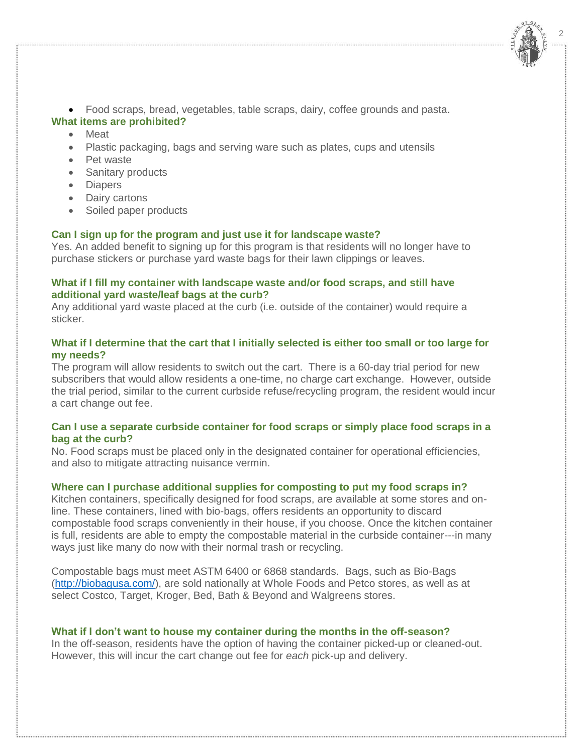Food scraps, bread, vegetables, table scraps, dairy, coffee grounds and pasta.

2

## **What items are prohibited?**

- Meat
- Plastic packaging, bags and serving ware such as plates, cups and utensils
- Pet waste
- Sanitary products
- Diapers
- Dairy cartons
- Soiled paper products

## **Can I sign up for the program and just use it for landscape waste?**

Yes. An added benefit to signing up for this program is that residents will no longer have to purchase stickers or purchase yard waste bags for their lawn clippings or leaves.

## **What if I fill my container with landscape waste and/or food scraps, and still have additional yard waste/leaf bags at the curb?**

Any additional yard waste placed at the curb (i.e. outside of the container) would require a sticker.

## **What if I determine that the cart that I initially selected is either too small or too large for my needs?**

The program will allow residents to switch out the cart. There is a 60-day trial period for new subscribers that would allow residents a one-time, no charge cart exchange. However, outside the trial period, similar to the current curbside refuse/recycling program, the resident would incur a cart change out fee.

## **Can I use a separate curbside container for food scraps or simply place food scraps in a bag at the curb?**

No. Food scraps must be placed only in the designated container for operational efficiencies, and also to mitigate attracting nuisance vermin.

# **Where can I purchase additional supplies for composting to put my food scraps in?**

Kitchen containers, specifically designed for food scraps, are available at some stores and online. These containers, lined with bio-bags, offers residents an opportunity to discard compostable food scraps conveniently in their house, if you choose. Once the kitchen container is full, residents are able to empty the compostable material in the curbside container---in many ways just like many do now with their normal trash or recycling.

Compostable bags must meet ASTM 6400 or 6868 standards. Bags, such as Bio-Bags [\(http://biobagusa.com/\)](http://biobagusa.com/), are sold nationally at Whole Foods and Petco stores, as well as at select Costco, Target, Kroger, Bed, Bath & Beyond and Walgreens stores.

# **What if I don't want to house my container during the months in the off-season?**

In the off-season, residents have the option of having the container picked-up or cleaned-out. However, this will incur the cart change out fee for *each* pick-up and delivery.